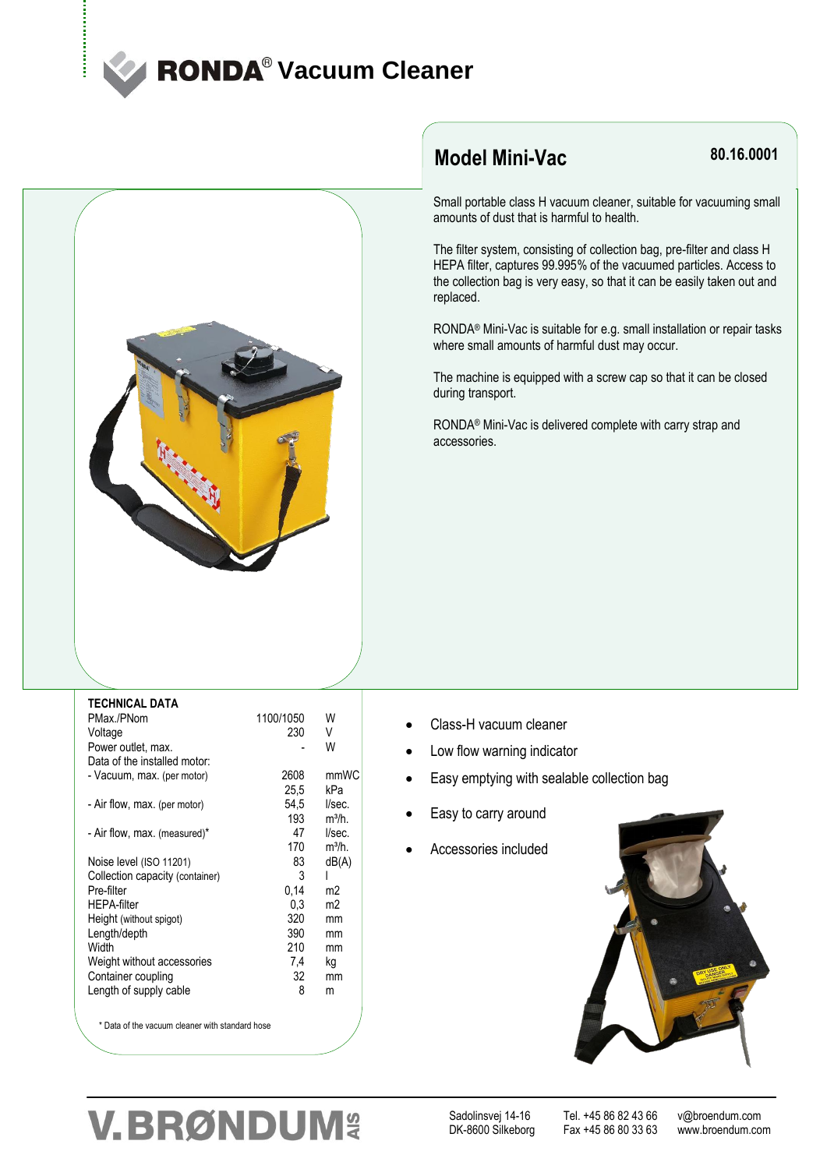## **RONDA<sup>®</sup> Vacuum Cleaner**



## **Model Mini-Vac**

### **80.16.0001**

Small portable class H vacuum cleaner, suitable for vacuuming small amounts of dust that is harmful to health.

The filter system, consisting of collection bag, pre-filter and class H HEPA filter, captures 99.995% of the vacuumed particles. Access to the collection bag is very easy, so that it can be easily taken out and replaced.

RONDA® Mini-Vac is suitable for e.g. small installation or repair tasks where small amounts of harmful dust may occur.

The machine is equipped with a screw cap so that it can be closed during transport.

RONDA® Mini-Vac is delivered complete with carry strap and accessories.

| <b>TECHNICAL DATA</b>                           |           |                |
|-------------------------------------------------|-----------|----------------|
| PMax./PNom                                      | 1100/1050 | W              |
| Voltage                                         | 230       | V              |
| Power outlet, max.                              |           | W              |
| Data of the installed motor:                    |           |                |
| - Vacuum, max. (per motor)                      | 2608      | mmWC           |
|                                                 | 25,5      | kPa            |
| - Air flow, max. (per motor)                    | 54,5      | I/sec.         |
|                                                 | 193       | $m^3/h$ .      |
| - Air flow, max. (measured)*                    | 47        | I/sec.         |
|                                                 | 170       | $m^3/h$ .      |
| Noise level (ISO 11201)                         | 83        | dB(A)          |
| Collection capacity (container)                 | 3         | L              |
| Pre-filter                                      | 0,14      | m2             |
| <b>HEPA-filter</b>                              | 0.3       | m <sub>2</sub> |
| Height (without spigot)                         | 320       | mm             |
| Length/depth                                    | 390       | mm             |
| Width                                           | 210       | mm             |
| Weight without accessories                      | 7,4       | ka             |
| Container coupling                              | 32        | mm             |
| Length of supply cable                          | 8         | m              |
| * Data of the vacuum cleaner with standard hose |           |                |

- Class-H vacuum cleaner
- Low flow warning indicator
- Easy emptying with sealable collection bag
- Easy to carry around
- Accessories included



## **V.BRØNDUM&**

Sadolinsvej 14-16 Tel. +45 86 82 43 66 v@broendum.com

Fax +45 86 80 33 63